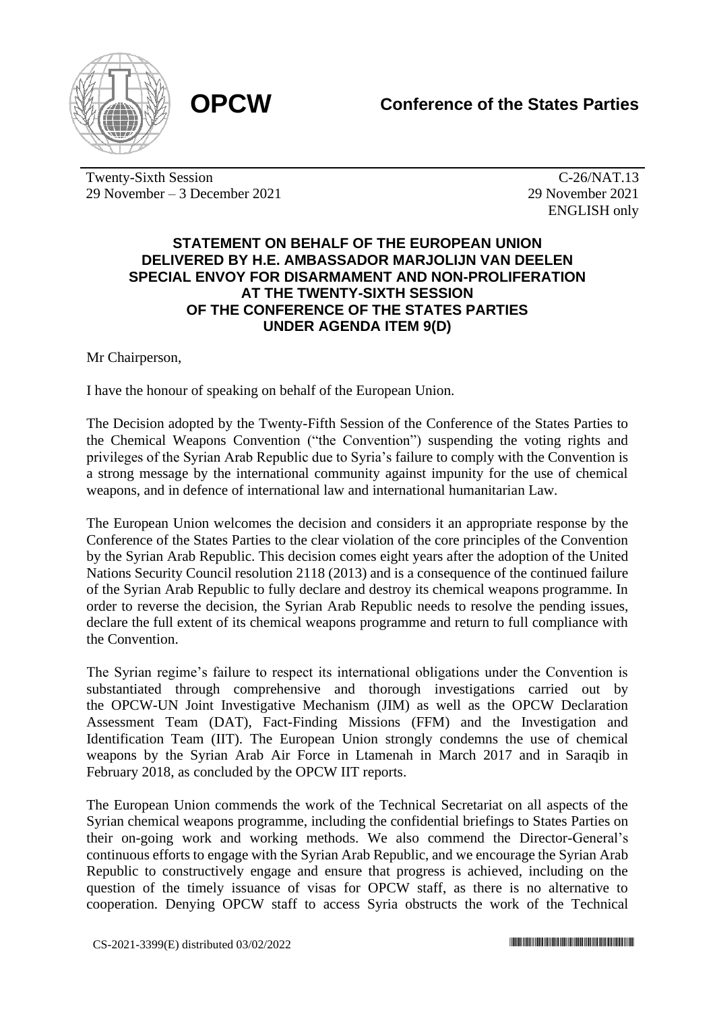

Twenty-Sixth Session 29 November – 3 December 2021

C-26/NAT.13 29 November 2021 ENGLISH only

## **STATEMENT ON BEHALF OF THE EUROPEAN UNION DELIVERED BY H.E. AMBASSADOR MARJOLIJN VAN DEELEN SPECIAL ENVOY FOR DISARMAMENT AND NON-PROLIFERATION AT THE TWENTY-SIXTH SESSION OF THE CONFERENCE OF THE STATES PARTIES UNDER AGENDA ITEM 9(D)**

Mr Chairperson,

I have the honour of speaking on behalf of the European Union.

The Decision adopted by the Twenty-Fifth Session of the Conference of the States Parties to the Chemical Weapons Convention ("the Convention") suspending the voting rights and privileges of the Syrian Arab Republic due to Syria's failure to comply with the Convention is a strong message by the international community against impunity for the use of chemical weapons, and in defence of international law and international humanitarian Law.

The European Union welcomes the decision and considers it an appropriate response by the Conference of the States Parties to the clear violation of the core principles of the Convention by the Syrian Arab Republic. This decision comes eight years after the adoption of the United Nations Security Council resolution 2118 (2013) and is a consequence of the continued failure of the Syrian Arab Republic to fully declare and destroy its chemical weapons programme. In order to reverse the decision, the Syrian Arab Republic needs to resolve the pending issues, declare the full extent of its chemical weapons programme and return to full compliance with the Convention.

The Syrian regime's failure to respect its international obligations under the Convention is substantiated through comprehensive and thorough investigations carried out by the OPCW-UN Joint Investigative Mechanism (JIM) as well as the OPCW Declaration Assessment Team (DAT), Fact-Finding Missions (FFM) and the Investigation and Identification Team (IIT). The European Union strongly condemns the use of chemical weapons by the Syrian Arab Air Force in Ltamenah in March 2017 and in Saraqib in February 2018, as concluded by the OPCW IIT reports.

The European Union commends the work of the Technical Secretariat on all aspects of the Syrian chemical weapons programme, including the confidential briefings to States Parties on their on-going work and working methods. We also commend the Director-General's continuous efforts to engage with the Syrian Arab Republic, and we encourage the Syrian Arab Republic to constructively engage and ensure that progress is achieved, including on the question of the timely issuance of visas for OPCW staff, as there is no alternative to cooperation. Denying OPCW staff to access Syria obstructs the work of the Technical